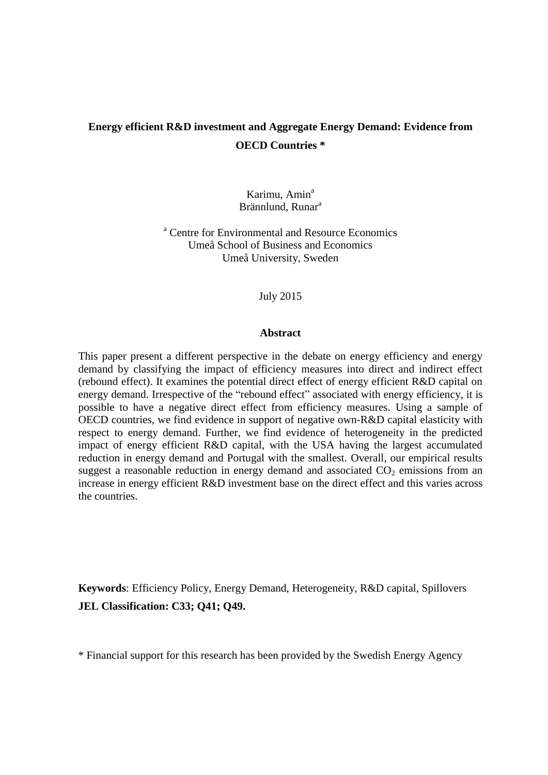# **Energy efficient R&D investment and Aggregate Energy Demand: Evidence from OECD Countries \***

Karimu, Amin<sup>a</sup> Brännlund, Runar<sup>a</sup>

<sup>a</sup> Centre for Environmental and Resource Economics Umeå School of Business and Economics Umeå University, Sweden

July 2015

### **Abstract**

This paper present a different perspective in the debate on energy efficiency and energy demand by classifying the impact of efficiency measures into direct and indirect effect (rebound effect). It examines the potential direct effect of energy efficient R&D capital on energy demand. Irrespective of the "rebound effect" associated with energy efficiency, it is possible to have a negative direct effect from efficiency measures. Using a sample of OECD countries, we find evidence in support of negative own-R&D capital elasticity with respect to energy demand. Further, we find evidence of heterogeneity in the predicted impact of energy efficient R&D capital, with the USA having the largest accumulated reduction in energy demand and Portugal with the smallest. Overall, our empirical results suggest a reasonable reduction in energy demand and associated  $CO<sub>2</sub>$  emissions from an increase in energy efficient R&D investment base on the direct effect and this varies across the countries.

**Keywords**: Efficiency Policy, Energy Demand, Heterogeneity, R&D capital, Spillovers **JEL Classification: C33; Q41; Q49.** 

\* Financial support for this research has been provided by the Swedish Energy Agency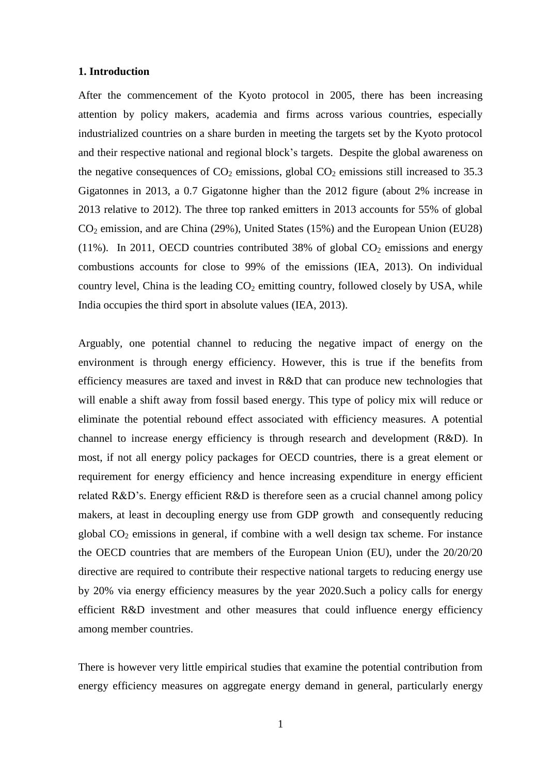## **1. Introduction**

After the commencement of the Kyoto protocol in 2005, there has been increasing attention by policy makers, academia and firms across various countries, especially industrialized countries on a share burden in meeting the targets set by the Kyoto protocol and their respective national and regional block's targets. Despite the global awareness on the negative consequences of  $CO<sub>2</sub>$  emissions, global  $CO<sub>2</sub>$  emissions still increased to 35.3 Gigatonnes in 2013, a 0.7 Gigatonne higher than the 2012 figure (about 2% increase in 2013 relative to 2012). The three top ranked emitters in 2013 accounts for 55% of global  $CO<sub>2</sub>$  emission, and are China (29%), United States (15%) and the European Union (EU28) (11%). In 2011, OECD countries contributed 38% of global  $CO<sub>2</sub>$  emissions and energy combustions accounts for close to 99% of the emissions (IEA, 2013). On individual country level, China is the leading  $CO<sub>2</sub>$  emitting country, followed closely by USA, while India occupies the third sport in absolute values (IEA, 2013).

Arguably, one potential channel to reducing the negative impact of energy on the environment is through energy efficiency. However, this is true if the benefits from efficiency measures are taxed and invest in R&D that can produce new technologies that will enable a shift away from fossil based energy. This type of policy mix will reduce or eliminate the potential rebound effect associated with efficiency measures. A potential channel to increase energy efficiency is through research and development (R&D). In most, if not all energy policy packages for OECD countries, there is a great element or requirement for energy efficiency and hence increasing expenditure in energy efficient related R&D's. Energy efficient R&D is therefore seen as a crucial channel among policy makers, at least in decoupling energy use from GDP growth and consequently reducing global  $CO<sub>2</sub>$  emissions in general, if combine with a well design tax scheme. For instance the OECD countries that are members of the European Union (EU), under the 20/20/20 directive are required to contribute their respective national targets to reducing energy use by 20% via energy efficiency measures by the year 2020.Such a policy calls for energy efficient R&D investment and other measures that could influence energy efficiency among member countries.

There is however very little empirical studies that examine the potential contribution from energy efficiency measures on aggregate energy demand in general, particularly energy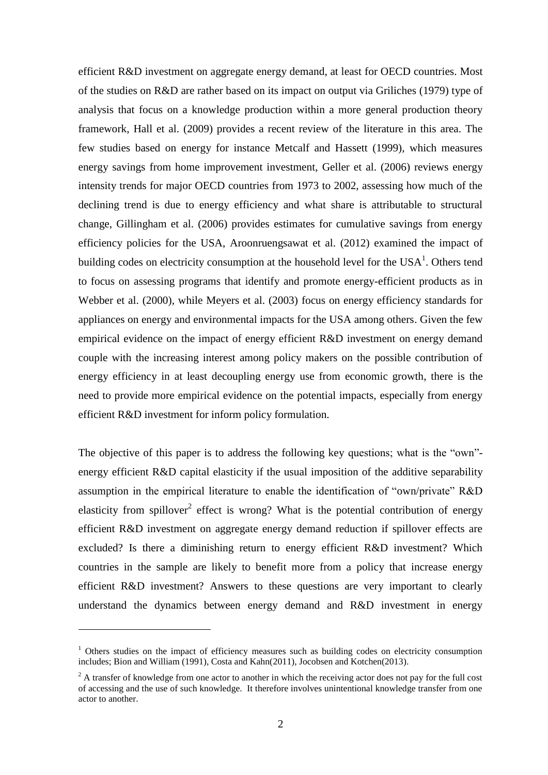efficient R&D investment on aggregate energy demand, at least for OECD countries. Most of the studies on R&D are rather based on its impact on output via Griliches (1979) type of analysis that focus on a knowledge production within a more general production theory framework, Hall et al. (2009) provides a recent review of the literature in this area. The few studies based on energy for instance Metcalf and Hassett (1999), which measures energy savings from home improvement investment, Geller et al. (2006) reviews energy intensity trends for major OECD countries from 1973 to 2002, assessing how much of the declining trend is due to energy efficiency and what share is attributable to structural change, Gillingham et al. (2006) provides estimates for cumulative savings from energy efficiency policies for the USA, Aroonruengsawat et al. (2012) examined the impact of building codes on electricity consumption at the household level for the  $USA<sup>1</sup>$ . Others tend to focus on assessing programs that identify and promote energy-efficient products as in Webber et al. (2000), while Meyers et al. (2003) focus on energy efficiency standards for appliances on energy and environmental impacts for the USA among others. Given the few empirical evidence on the impact of energy efficient R&D investment on energy demand couple with the increasing interest among policy makers on the possible contribution of energy efficiency in at least decoupling energy use from economic growth, there is the need to provide more empirical evidence on the potential impacts, especially from energy efficient R&D investment for inform policy formulation.

The objective of this paper is to address the following key questions; what is the "own" energy efficient R&D capital elasticity if the usual imposition of the additive separability assumption in the empirical literature to enable the identification of "own/private" R&D elasticity from spillover<sup>2</sup> effect is wrong? What is the potential contribution of energy efficient R&D investment on aggregate energy demand reduction if spillover effects are excluded? Is there a diminishing return to energy efficient R&D investment? Which countries in the sample are likely to benefit more from a policy that increase energy efficient R&D investment? Answers to these questions are very important to clearly understand the dynamics between energy demand and R&D investment in energy

1

 $1$  Others studies on the impact of efficiency measures such as building codes on electricity consumption includes; Bion and William (1991), Costa and Kahn(2011), Jocobsen and Kotchen(2013).

<sup>&</sup>lt;sup>2</sup> A transfer of knowledge from one actor to another in which the receiving actor does not pay for the full cost of accessing and the use of such knowledge. It therefore involves unintentional knowledge transfer from one actor to another.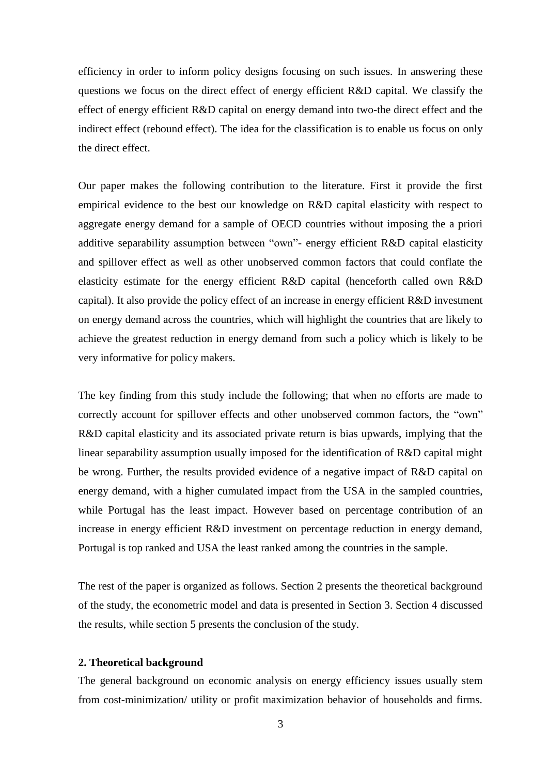efficiency in order to inform policy designs focusing on such issues. In answering these questions we focus on the direct effect of energy efficient R&D capital. We classify the effect of energy efficient R&D capital on energy demand into two-the direct effect and the indirect effect (rebound effect). The idea for the classification is to enable us focus on only the direct effect.

Our paper makes the following contribution to the literature. First it provide the first empirical evidence to the best our knowledge on R&D capital elasticity with respect to aggregate energy demand for a sample of OECD countries without imposing the a priori additive separability assumption between "own"- energy efficient R&D capital elasticity and spillover effect as well as other unobserved common factors that could conflate the elasticity estimate for the energy efficient R&D capital (henceforth called own R&D capital). It also provide the policy effect of an increase in energy efficient R&D investment on energy demand across the countries, which will highlight the countries that are likely to achieve the greatest reduction in energy demand from such a policy which is likely to be very informative for policy makers.

The key finding from this study include the following; that when no efforts are made to correctly account for spillover effects and other unobserved common factors, the "own" R&D capital elasticity and its associated private return is bias upwards, implying that the linear separability assumption usually imposed for the identification of R&D capital might be wrong. Further, the results provided evidence of a negative impact of R&D capital on energy demand, with a higher cumulated impact from the USA in the sampled countries, while Portugal has the least impact. However based on percentage contribution of an increase in energy efficient R&D investment on percentage reduction in energy demand, Portugal is top ranked and USA the least ranked among the countries in the sample.

The rest of the paper is organized as follows. Section 2 presents the theoretical background of the study, the econometric model and data is presented in Section 3. Section 4 discussed the results, while section 5 presents the conclusion of the study.

## **2. Theoretical background**

The general background on economic analysis on energy efficiency issues usually stem from cost-minimization/ utility or profit maximization behavior of households and firms.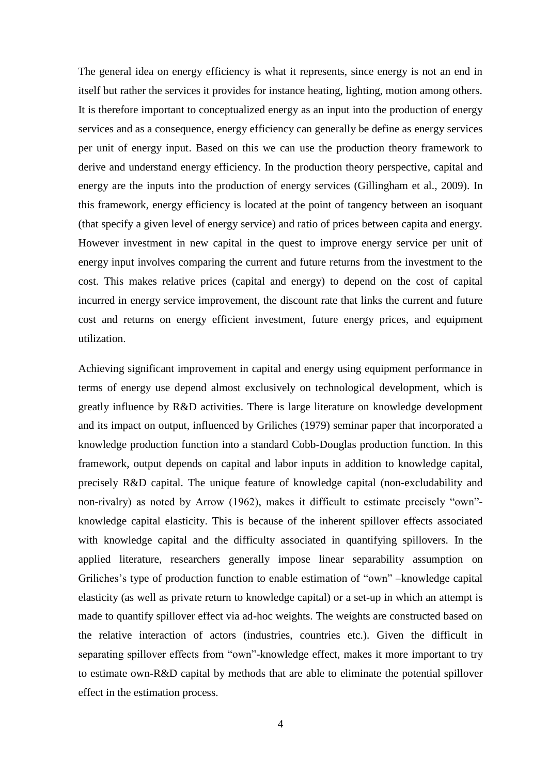The general idea on energy efficiency is what it represents, since energy is not an end in itself but rather the services it provides for instance heating, lighting, motion among others. It is therefore important to conceptualized energy as an input into the production of energy services and as a consequence, energy efficiency can generally be define as energy services per unit of energy input. Based on this we can use the production theory framework to derive and understand energy efficiency. In the production theory perspective, capital and energy are the inputs into the production of energy services (Gillingham et al., 2009). In this framework, energy efficiency is located at the point of tangency between an isoquant (that specify a given level of energy service) and ratio of prices between capita and energy. However investment in new capital in the quest to improve energy service per unit of energy input involves comparing the current and future returns from the investment to the cost. This makes relative prices (capital and energy) to depend on the cost of capital incurred in energy service improvement, the discount rate that links the current and future cost and returns on energy efficient investment, future energy prices, and equipment utilization.

Achieving significant improvement in capital and energy using equipment performance in terms of energy use depend almost exclusively on technological development, which is greatly influence by R&D activities. There is large literature on knowledge development and its impact on output, influenced by Griliches (1979) seminar paper that incorporated a knowledge production function into a standard Cobb-Douglas production function. In this framework, output depends on capital and labor inputs in addition to knowledge capital, precisely R&D capital. The unique feature of knowledge capital (non-excludability and non-rivalry) as noted by Arrow (1962), makes it difficult to estimate precisely "own" knowledge capital elasticity. This is because of the inherent spillover effects associated with knowledge capital and the difficulty associated in quantifying spillovers. In the applied literature, researchers generally impose linear separability assumption on Griliches's type of production function to enable estimation of "own" –knowledge capital elasticity (as well as private return to knowledge capital) or a set-up in which an attempt is made to quantify spillover effect via ad-hoc weights. The weights are constructed based on the relative interaction of actors (industries, countries etc.). Given the difficult in separating spillover effects from "own"-knowledge effect, makes it more important to try to estimate own-R&D capital by methods that are able to eliminate the potential spillover effect in the estimation process.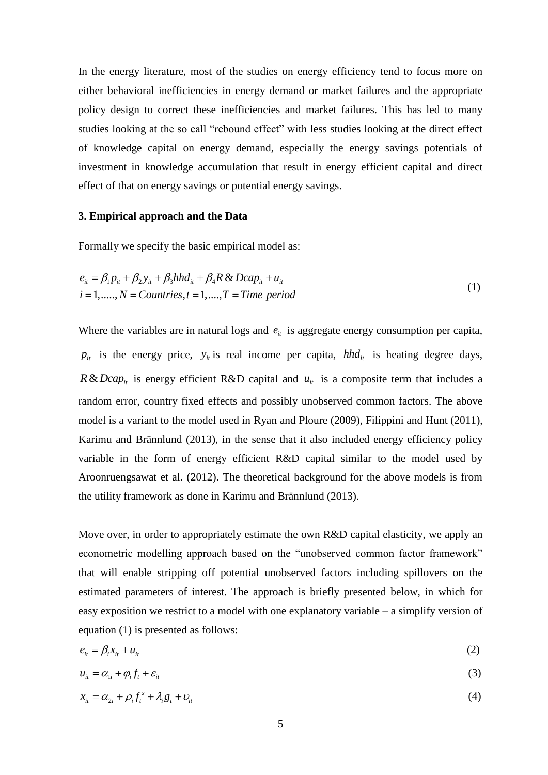In the energy literature, most of the studies on energy efficiency tend to focus more on either behavioral inefficiencies in energy demand or market failures and the appropriate policy design to correct these inefficiencies and market failures. This has led to many studies looking at the so call "rebound effect" with less studies looking at the direct effect of knowledge capital on energy demand, especially the energy savings potentials of investment in knowledge accumulation that result in energy efficient capital and direct effect of that on energy savings or potential energy savings.

## **3. Empirical approach and the Data**

Formally we specify the basic empirical model as:

$$
e_{it} = \beta_1 p_{it} + \beta_2 y_{it} + \beta_3 h h d_{it} + \beta_4 R \& Dcap_{it} + u_{it}
$$
  
\n $i = 1, \dots, N = Countries, t = 1, \dots, T = Time \ period$  (1)

Where the variables are in natural logs and  $e_{it}$  is aggregate energy consumption per capita,  $p_{ii}$  is the energy price,  $y_{ii}$  is real income per capita,  $hhd_{ii}$  is heating degree days,  $R \& Dcap_{ii}$  is energy efficient R&D capital and  $u_{ii}$  is a composite term that includes a random error, country fixed effects and possibly unobserved common factors. The above model is a variant to the model used in Ryan and Ploure (2009), Filippini and Hunt (2011), Karimu and Brännlund (2013), in the sense that it also included energy efficiency policy variable in the form of energy efficient R&D capital similar to the model used by Aroonruengsawat et al. (2012). The theoretical background for the above models is from the utility framework as done in Karimu and Brännlund (2013).

Move over, in order to appropriately estimate the own R&D capital elasticity, we apply an econometric modelling approach based on the "unobserved common factor framework" that will enable stripping off potential unobserved factors including spillovers on the estimated parameters of interest. The approach is briefly presented below, in which for easy exposition we restrict to a model with one explanatory variable – a simplify version of equation (1) is presented as follows:

$$
e_{it} = \beta_i x_{it} + u_{it} \tag{2}
$$

$$
u_{it} = \alpha_{1i} + \varphi_i f_t + \varepsilon_{it} \tag{3}
$$

$$
x_{it} = \alpha_{2i} + \rho_i f_i^s + \lambda_i g_t + v_{it}
$$
\n<sup>(4)</sup>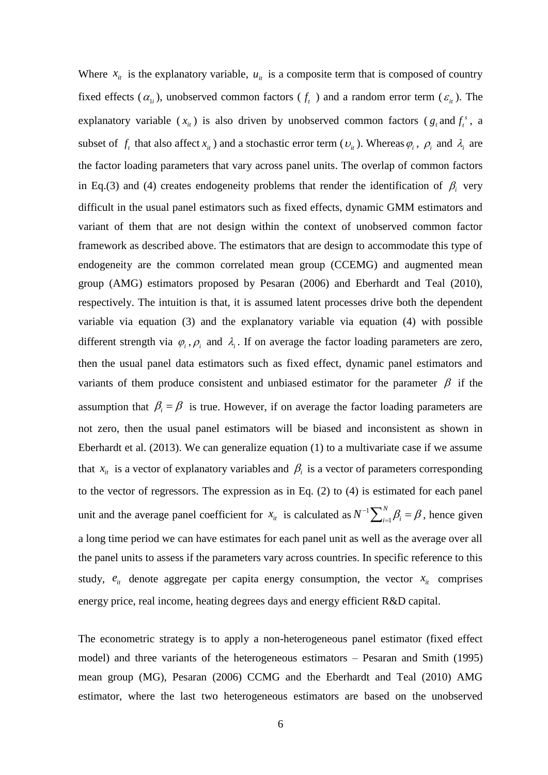Where  $x_{it}$  is the explanatory variable,  $u_{it}$  is a composite term that is composed of country fixed effects ( $\alpha_{1i}$ ), unobserved common factors ( $f_t$ ) and a random error term ( $\varepsilon_{it}$ ). The explanatory variable  $(x_i)$  is also driven by unobserved common factors  $(g_t \text{ and } f_t^s)$ *t f* , a subset of  $f_t$  that also affect  $x_i$  and a stochastic error term  $(v_i)$ . Whereas  $\varphi_i$ ,  $\rho_i$  and  $\lambda_i$  are the factor loading parameters that vary across panel units. The overlap of common factors in Eq.(3) and (4) creates endogeneity problems that render the identification of  $\beta$ <sub>i</sub> very difficult in the usual panel estimators such as fixed effects, dynamic GMM estimators and variant of them that are not design within the context of unobserved common factor framework as described above. The estimators that are design to accommodate this type of endogeneity are the common correlated mean group (CCEMG) and augmented mean group (AMG) estimators proposed by Pesaran (2006) and Eberhardt and Teal (2010), respectively. The intuition is that, it is assumed latent processes drive both the dependent variable via equation (3) and the explanatory variable via equation (4) with possible different strength via  $\varphi_i$ ,  $\varphi_i$  and  $\lambda_i$ . If on average the factor loading parameters are zero, then the usual panel data estimators such as fixed effect, dynamic panel estimators and variants of them produce consistent and unbiased estimator for the parameter  $\beta$  if the assumption that  $\beta_i = \beta$  is true. However, if on average the factor loading parameters are not zero, then the usual panel estimators will be biased and inconsistent as shown in Eberhardt et al. (2013). We can generalize equation (1) to a multivariate case if we assume that  $x_{it}$  is a vector of explanatory variables and  $\beta_i$  is a vector of parameters corresponding to the vector of regressors. The expression as in Eq. (2) to (4) is estimated for each panel unit and the average panel coefficient for  $x_i$  is calculated as  $N^{-1} \sum_{i=1}^{N} \beta_i = \beta$ , hence given a long time period we can have estimates for each panel unit as well as the average over all the panel units to assess if the parameters vary across countries. In specific reference to this study,  $e_{it}$  denote aggregate per capita energy consumption, the vector  $x_{it}$  comprises energy price, real income, heating degrees days and energy efficient R&D capital. 1 *N*  $N^{-1}\sum_{i=1}^N \beta_i = \beta$ ,

The econometric strategy is to apply a non-heterogeneous panel estimator (fixed effect model) and three variants of the heterogeneous estimators – Pesaran and Smith (1995) mean group (MG), Pesaran (2006) CCMG and the Eberhardt and Teal (2010) AMG estimator, where the last two heterogeneous estimators are based on the unobserved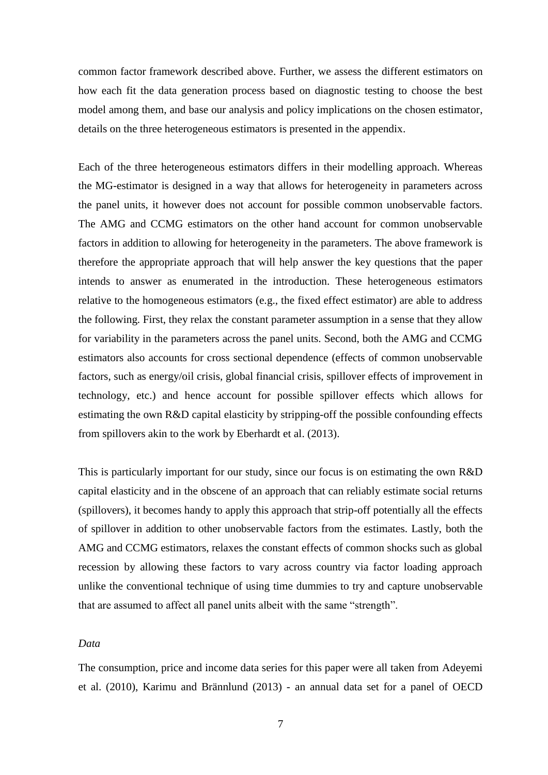common factor framework described above. Further, we assess the different estimators on how each fit the data generation process based on diagnostic testing to choose the best model among them, and base our analysis and policy implications on the chosen estimator, details on the three heterogeneous estimators is presented in the appendix.

Each of the three heterogeneous estimators differs in their modelling approach. Whereas the MG-estimator is designed in a way that allows for heterogeneity in parameters across the panel units, it however does not account for possible common unobservable factors. The AMG and CCMG estimators on the other hand account for common unobservable factors in addition to allowing for heterogeneity in the parameters. The above framework is therefore the appropriate approach that will help answer the key questions that the paper intends to answer as enumerated in the introduction. These heterogeneous estimators relative to the homogeneous estimators (e.g., the fixed effect estimator) are able to address the following. First, they relax the constant parameter assumption in a sense that they allow for variability in the parameters across the panel units. Second, both the AMG and CCMG estimators also accounts for cross sectional dependence (effects of common unobservable factors, such as energy/oil crisis, global financial crisis, spillover effects of improvement in technology, etc.) and hence account for possible spillover effects which allows for estimating the own R&D capital elasticity by stripping-off the possible confounding effects from spillovers akin to the work by Eberhardt et al. (2013).

This is particularly important for our study, since our focus is on estimating the own R&D capital elasticity and in the obscene of an approach that can reliably estimate social returns (spillovers), it becomes handy to apply this approach that strip-off potentially all the effects of spillover in addition to other unobservable factors from the estimates. Lastly, both the AMG and CCMG estimators, relaxes the constant effects of common shocks such as global recession by allowing these factors to vary across country via factor loading approach unlike the conventional technique of using time dummies to try and capture unobservable that are assumed to affect all panel units albeit with the same "strength".

## *Data*

The consumption, price and income data series for this paper were all taken from Adeyemi et al. (2010), Karimu and Brännlund (2013) - an annual data set for a panel of OECD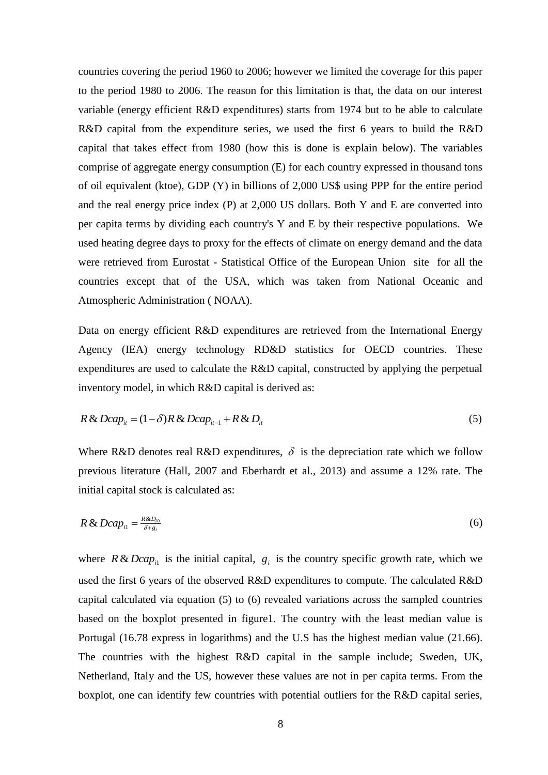countries covering the period 1960 to 2006; however we limited the coverage for this paper to the period 1980 to 2006. The reason for this limitation is that, the data on our interest variable (energy efficient R&D expenditures) starts from 1974 but to be able to calculate R&D capital from the expenditure series, we used the first 6 years to build the R&D capital that takes effect from 1980 (how this is done is explain below). The variables comprise of aggregate energy consumption (E) for each country expressed in thousand tons of oil equivalent (ktoe), GDP (Y) in billions of 2,000 US\$ using PPP for the entire period and the real energy price index (P) at 2,000 US dollars. Both Y and E are converted into per capita terms by dividing each country's Y and E by their respective populations. We used heating degree days to proxy for the effects of climate on energy demand and the data were retrieved from Eurostat - Statistical Office of the European Union site for all the countries except that of the USA, which was taken from National Oceanic and Atmospheric Administration ( NOAA).

Data on energy efficient R&D expenditures are retrieved from the International Energy Agency (IEA) energy technology RD&D statistics for OECD countries. These expenditures are used to calculate the R&D capital, constructed by applying the perpetual inventory model, in which R&D capital is derived as:

$$
R \& Dcap_{ii} = (1 - \delta)R \& Dcap_{i-1} + R \& D_{ii}
$$
\n
$$
(5)
$$

Where R&D denotes real R&D expenditures,  $\delta$  is the depreciation rate which we follow previous literature (Hall, 2007 and Eberhardt et al., 2013) and assume a 12% rate. The initial capital stock is calculated as:

$$
R\& Dcap_{i1} = \frac{R\&D_{i0}}{\delta + g_i} \tag{6}
$$

where  $R \& Dcap_{i}$  is the initial capital,  $g_i$  is the country specific growth rate, which we used the first 6 years of the observed R&D expenditures to compute. The calculated R&D capital calculated via equation (5) to (6) revealed variations across the sampled countries based on the boxplot presented in figure1. The country with the least median value is Portugal (16.78 express in logarithms) and the U.S has the highest median value (21.66). The countries with the highest R&D capital in the sample include; Sweden, UK, Netherland, Italy and the US, however these values are not in per capita terms. From the boxplot, one can identify few countries with potential outliers for the R&D capital series,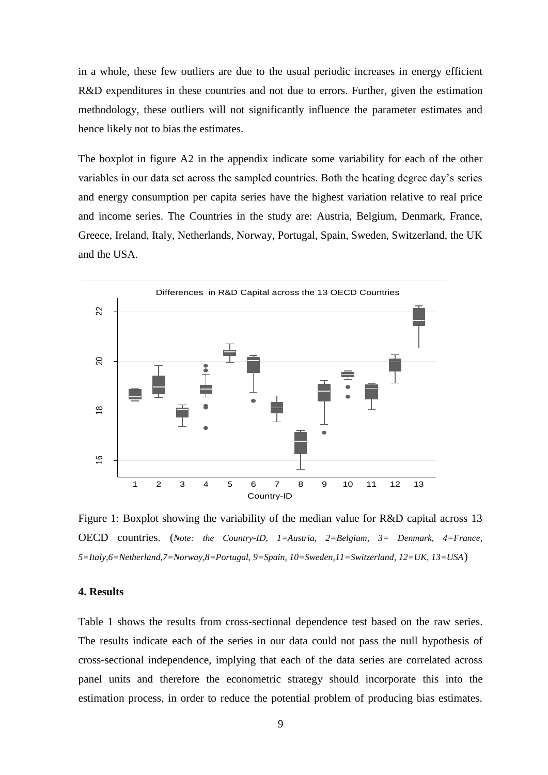in a whole, these few outliers are due to the usual periodic increases in energy efficient R&D expenditures in these countries and not due to errors. Further, given the estimation methodology, these outliers will not significantly influence the parameter estimates and hence likely not to bias the estimates.

The boxplot in figure A2 in the appendix indicate some variability for each of the other variables in our data set across the sampled countries. Both the heating degree day's series and energy consumption per capita series have the highest variation relative to real price and income series. The Countries in the study are: Austria, Belgium, Denmark, France, Greece, Ireland, Italy, Netherlands, Norway, Portugal, Spain, Sweden, Switzerland, the UK and the USA.



Figure 1: Boxplot showing the variability of the median value for R&D capital across 13 OECD countries. (*Note: the Country-ID, 1=Austria, 2=Belgium, 3= Denmark, 4=France, 5=Italy,6=Netherland,7=Norway,8=Portugal, 9=Spain, 10=Sweden,11=Switzerland, 12=UK, 13=USA*)

#### **4. Results**

Table 1 shows the results from cross-sectional dependence test based on the raw series. The results indicate each of the series in our data could not pass the null hypothesis of cross-sectional independence, implying that each of the data series are correlated across panel units and therefore the econometric strategy should incorporate this into the estimation process, in order to reduce the potential problem of producing bias estimates.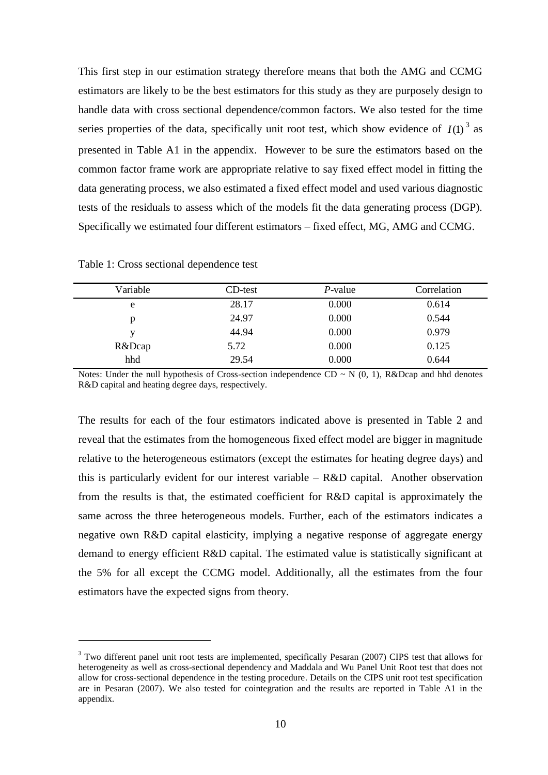This first step in our estimation strategy therefore means that both the AMG and CCMG estimators are likely to be the best estimators for this study as they are purposely design to handle data with cross sectional dependence/common factors. We also tested for the time series properties of the data, specifically unit root test, which show evidence of  $I(1)^3$  as presented in Table A1 in the appendix. However to be sure the estimators based on the common factor frame work are appropriate relative to say fixed effect model in fitting the data generating process, we also estimated a fixed effect model and used various diagnostic tests of the residuals to assess which of the models fit the data generating process (DGP). Specifically we estimated four different estimators – fixed effect, MG, AMG and CCMG.

| Variable | CD-test | $P$ -value | Correlation |
|----------|---------|------------|-------------|
| e        | 28.17   | 0.000      | 0.614       |
| p        | 24.97   | 0.000      | 0.544       |
| v        | 44.94   | 0.000      | 0.979       |
| R&Dcap   | 5.72    | 0.000      | 0.125       |
| hhd      | 29.54   | 0.000      | 0.644       |
|          |         |            |             |

Table 1: Cross sectional dependence test

1

Notes: Under the null hypothesis of Cross-section independence  $CD \sim N(0, 1)$ , R&Dcap and hhd denotes R&D capital and heating degree days, respectively.

The results for each of the four estimators indicated above is presented in Table 2 and reveal that the estimates from the homogeneous fixed effect model are bigger in magnitude relative to the heterogeneous estimators (except the estimates for heating degree days) and this is particularly evident for our interest variable – R&D capital. Another observation from the results is that, the estimated coefficient for R&D capital is approximately the same across the three heterogeneous models. Further, each of the estimators indicates a negative own R&D capital elasticity, implying a negative response of aggregate energy demand to energy efficient R&D capital. The estimated value is statistically significant at the 5% for all except the CCMG model. Additionally, all the estimates from the four estimators have the expected signs from theory.

<sup>&</sup>lt;sup>3</sup> Two different panel unit root tests are implemented, specifically Pesaran (2007) CIPS test that allows for heterogeneity as well as cross-sectional dependency and Maddala and Wu Panel Unit Root test that does not allow for cross-sectional dependence in the testing procedure. Details on the CIPS unit root test specification are in Pesaran (2007). We also tested for cointegration and the results are reported in Table A1 in the appendix.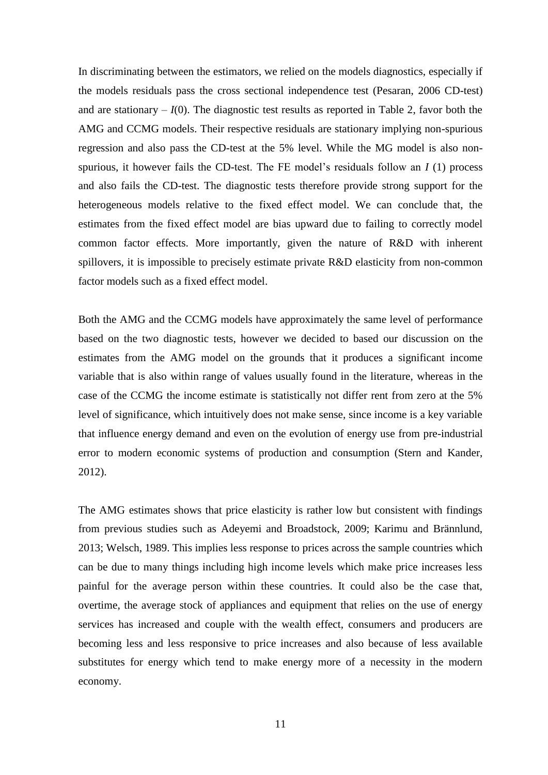In discriminating between the estimators, we relied on the models diagnostics, especially if the models residuals pass the cross sectional independence test (Pesaran, 2006 CD-test) and are stationary  $-I(0)$ . The diagnostic test results as reported in Table 2, favor both the AMG and CCMG models. Their respective residuals are stationary implying non-spurious regression and also pass the CD-test at the 5% level. While the MG model is also nonspurious, it however fails the CD-test. The FE model's residuals follow an *I* (1) process and also fails the CD-test. The diagnostic tests therefore provide strong support for the heterogeneous models relative to the fixed effect model. We can conclude that, the estimates from the fixed effect model are bias upward due to failing to correctly model common factor effects. More importantly, given the nature of R&D with inherent spillovers, it is impossible to precisely estimate private R&D elasticity from non-common factor models such as a fixed effect model.

Both the AMG and the CCMG models have approximately the same level of performance based on the two diagnostic tests, however we decided to based our discussion on the estimates from the AMG model on the grounds that it produces a significant income variable that is also within range of values usually found in the literature, whereas in the case of the CCMG the income estimate is statistically not differ rent from zero at the 5% level of significance, which intuitively does not make sense, since income is a key variable that influence energy demand and even on the evolution of energy use from pre-industrial error to modern economic systems of production and consumption (Stern and Kander, 2012).

The AMG estimates shows that price elasticity is rather low but consistent with findings from previous studies such as Adeyemi and Broadstock, 2009; Karimu and Brännlund, 2013; Welsch, 1989. This implies less response to prices across the sample countries which can be due to many things including high income levels which make price increases less painful for the average person within these countries. It could also be the case that, overtime, the average stock of appliances and equipment that relies on the use of energy services has increased and couple with the wealth effect, consumers and producers are becoming less and less responsive to price increases and also because of less available substitutes for energy which tend to make energy more of a necessity in the modern economy.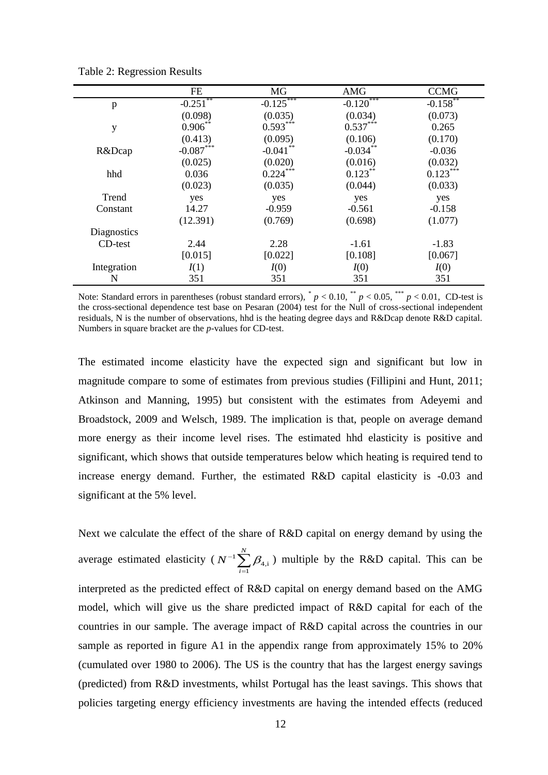|             | FE          | MG          | <b>AMG</b>   | <b>CCMG</b>            |
|-------------|-------------|-------------|--------------|------------------------|
| p           | $-0.251$ ** | $-0.125$    | $-0.120$ *** | $-0.158$ <sup>**</sup> |
|             | (0.098)     | (0.035)     | (0.034)      | (0.073)                |
| y           | $0.906***$  | $0.593***$  | $0.537***$   | 0.265                  |
|             | (0.413)     | (0.095)     | (0.106)      | (0.170)                |
| R&Dcap      | $-0.087***$ | $-0.041$ ** | $-0.034***$  | $-0.036$               |
|             | (0.025)     | (0.020)     | (0.016)      | (0.032)                |
| hhd         | 0.036       | $0.224***$  | $0.123***$   | $0.123***$             |
|             | (0.023)     | (0.035)     | (0.044)      | (0.033)                |
| Trend       | yes         | yes         | yes          | yes                    |
| Constant    | 14.27       | $-0.959$    | $-0.561$     | $-0.158$               |
|             | (12.391)    | (0.769)     | (0.698)      | (1.077)                |
| Diagnostics |             |             |              |                        |
| CD-test     | 2.44        | 2.28        | $-1.61$      | $-1.83$                |
|             | [0.015]     | [0.022]     | [0.108]      | [0.067]                |
| Integration | I(1)        | I(0)        | I(0)         | I(0)                   |
| N           | 351         | 351         | 351          | 351                    |

Table 2: Regression Results

Note: Standard errors in parentheses (robust standard errors),  $^{*}p < 0.10$ ,  $^{**}p < 0.05$ ,  $^{***}p < 0.01$ , CD-test is the cross-sectional dependence test base on Pesaran (2004) test for the Null of cross-sectional independent residuals, N is the number of observations, hhd is the heating degree days and R&Dcap denote R&D capital. Numbers in square bracket are the *p*-values for CD-test.

The estimated income elasticity have the expected sign and significant but low in magnitude compare to some of estimates from previous studies (Fillipini and Hunt, 2011; Atkinson and Manning, 1995) but consistent with the estimates from Adeyemi and Broadstock, 2009 and Welsch, 1989. The implication is that, people on average demand more energy as their income level rises. The estimated hhd elasticity is positive and significant, which shows that outside temperatures below which heating is required tend to increase energy demand. Further, the estimated R&D capital elasticity is -0.03 and significant at the 5% level.

Next we calculate the effect of the share of R&D capital on energy demand by using the average estimated elasticity ( $N^{-1}$  $\mathcal{P}_{4,\mathrm{i}}$ *N i*  $N^{-1}\sum^{N}\beta_{4}$  $\sum_{i=1}^{N} \beta_{4,i}$ ) multiple by the R&D capital. This can be interpreted as the predicted effect of R&D capital on energy demand based on the AMG model, which will give us the share predicted impact of R&D capital for each of the countries in our sample. The average impact of R&D capital across the countries in our sample as reported in figure A1 in the appendix range from approximately 15% to 20% (cumulated over 1980 to 2006). The US is the country that has the largest energy savings (predicted) from R&D investments, whilst Portugal has the least savings. This shows that policies targeting energy efficiency investments are having the intended effects (reduced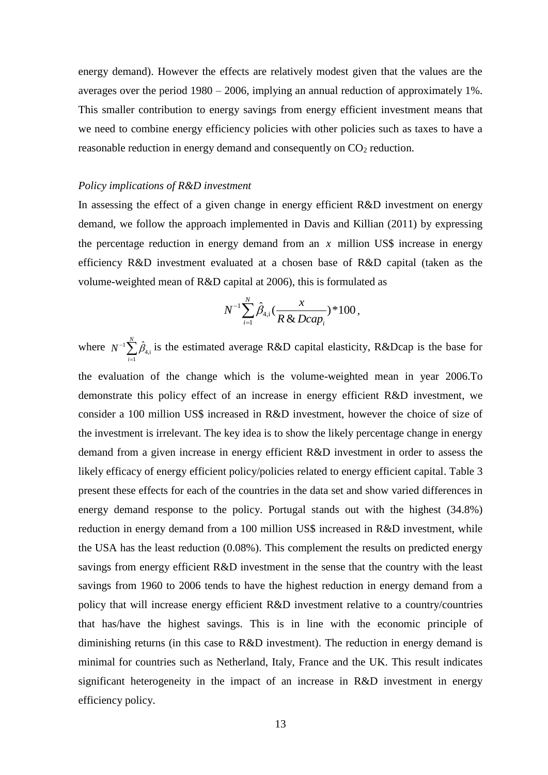energy demand). However the effects are relatively modest given that the values are the averages over the period 1980 – 2006, implying an annual reduction of approximately 1%. This smaller contribution to energy savings from energy efficient investment means that we need to combine energy efficiency policies with other policies such as taxes to have a reasonable reduction in energy demand and consequently on  $CO<sub>2</sub>$  reduction.

#### *Policy implications of R&D investment*

In assessing the effect of a given change in energy efficient R&D investment on energy demand, we follow the approach implemented in Davis and Killian (2011) by expressing the percentage reduction in energy demand from an  $x$  million US\$ increase in energy efficiency R&D investment evaluated at a chosen base of R&D capital (taken as the volume-weighted mean of R&D capital at 2006), this is formulated as

$$
N^{-1}\sum_{i=1}^N\hat{\beta}_{4,i}(\frac{x}{R\,\&\,Dcap_i})^*\,100\,,
$$

where  $N^{-1} \sum_{i=1} \hat{\beta}_{4,i}$  $\sum_{i=1}^{N} \hat{B}_{i}$ *i*  $N^{-1}\sum \hat{\beta}_4$  $\sum_{i=1} \hat{\beta}_{4,i}$  is the estimated average R&D capital elasticity, R&Dcap is the base for the evaluation of the change which is the volume-weighted mean in year 2006.To demonstrate this policy effect of an increase in energy efficient R&D investment, we consider a 100 million US\$ increased in R&D investment, however the choice of size of the investment is irrelevant. The key idea is to show the likely percentage change in energy demand from a given increase in energy efficient R&D investment in order to assess the likely efficacy of energy efficient policy/policies related to energy efficient capital. Table 3 present these effects for each of the countries in the data set and show varied differences in energy demand response to the policy. Portugal stands out with the highest (34.8%) reduction in energy demand from a 100 million US\$ increased in R&D investment, while the USA has the least reduction (0.08%). This complement the results on predicted energy savings from energy efficient R&D investment in the sense that the country with the least savings from 1960 to 2006 tends to have the highest reduction in energy demand from a policy that will increase energy efficient R&D investment relative to a country/countries that has/have the highest savings. This is in line with the economic principle of diminishing returns (in this case to R&D investment). The reduction in energy demand is minimal for countries such as Netherland, Italy, France and the UK. This result indicates significant heterogeneity in the impact of an increase in R&D investment in energy efficiency policy.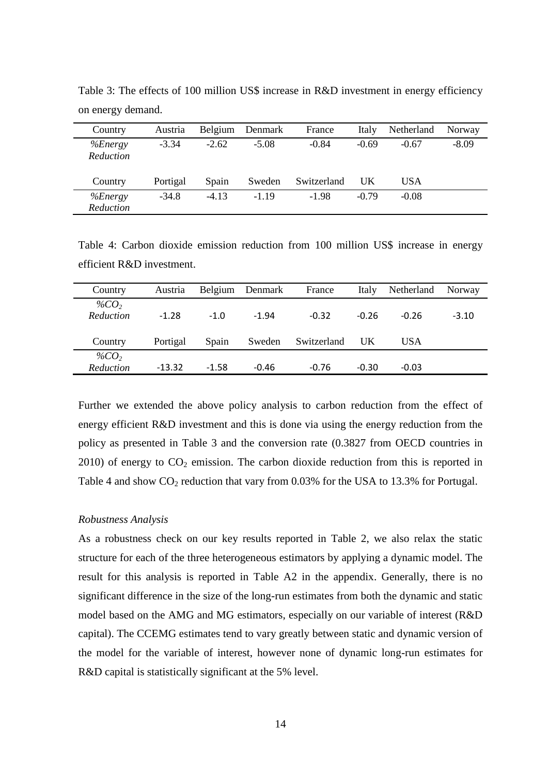| Country              | Austria  |         | Belgium Denmark | France      | Italy   | Netherland | Norway  |
|----------------------|----------|---------|-----------------|-------------|---------|------------|---------|
| %Energy<br>Reduction | $-3.34$  | $-2.62$ | $-5.08$         | $-0.84$     | $-0.69$ | $-0.67$    | $-8.09$ |
| Country              | Portigal | Spain   | Sweden          | Switzerland | UK      | USA        |         |
| %Energy<br>Reduction | $-34.8$  | $-4.13$ | $-1.19$         | $-1.98$     | $-0.79$ | $-0.08$    |         |

Table 3: The effects of 100 million US\$ increase in R&D investment in energy efficiency on energy demand.

Table 4: Carbon dioxide emission reduction from 100 million US\$ increase in energy efficient R&D investment.

| Country                     | Austria  |         | Belgium Denmark | France      | Italy   | Netherland | Norway  |
|-----------------------------|----------|---------|-----------------|-------------|---------|------------|---------|
| % $CO2$<br><b>Reduction</b> | $-1.28$  | $-1.0$  | $-1.94$         | $-0.32$     | $-0.26$ | $-0.26$    | $-3.10$ |
| Country                     | Portigal | Spain   | Sweden          | Switzerland | UK      | USA        |         |
| % $CO2$<br>Reduction        | $-13.32$ | $-1.58$ | $-0.46$         | $-0.76$     | $-0.30$ | $-0.03$    |         |

Further we extended the above policy analysis to carbon reduction from the effect of energy efficient R&D investment and this is done via using the energy reduction from the policy as presented in Table 3 and the conversion rate (0.3827 from OECD countries in  $2010$ ) of energy to  $CO<sub>2</sub>$  emission. The carbon dioxide reduction from this is reported in Table 4 and show  $CO_2$  reduction that vary from 0.03% for the USA to 13.3% for Portugal.

## *Robustness Analysis*

As a robustness check on our key results reported in Table 2, we also relax the static structure for each of the three heterogeneous estimators by applying a dynamic model. The result for this analysis is reported in Table A2 in the appendix. Generally, there is no significant difference in the size of the long-run estimates from both the dynamic and static model based on the AMG and MG estimators, especially on our variable of interest (R&D capital). The CCEMG estimates tend to vary greatly between static and dynamic version of the model for the variable of interest, however none of dynamic long-run estimates for R&D capital is statistically significant at the 5% level.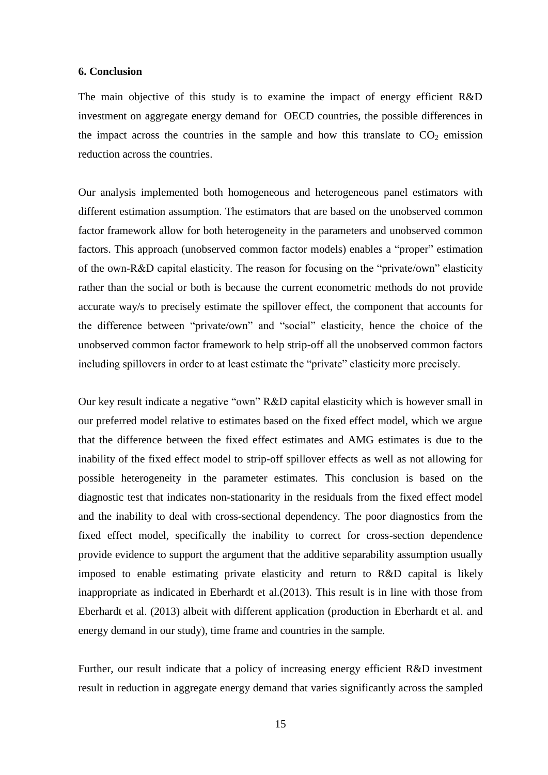## **6. Conclusion**

The main objective of this study is to examine the impact of energy efficient R&D investment on aggregate energy demand for OECD countries, the possible differences in the impact across the countries in the sample and how this translate to  $CO<sub>2</sub>$  emission reduction across the countries.

Our analysis implemented both homogeneous and heterogeneous panel estimators with different estimation assumption. The estimators that are based on the unobserved common factor framework allow for both heterogeneity in the parameters and unobserved common factors. This approach (unobserved common factor models) enables a "proper" estimation of the own-R&D capital elasticity. The reason for focusing on the "private/own" elasticity rather than the social or both is because the current econometric methods do not provide accurate way/s to precisely estimate the spillover effect, the component that accounts for the difference between "private/own" and "social" elasticity, hence the choice of the unobserved common factor framework to help strip-off all the unobserved common factors including spillovers in order to at least estimate the "private" elasticity more precisely.

Our key result indicate a negative "own" R&D capital elasticity which is however small in our preferred model relative to estimates based on the fixed effect model, which we argue that the difference between the fixed effect estimates and AMG estimates is due to the inability of the fixed effect model to strip-off spillover effects as well as not allowing for possible heterogeneity in the parameter estimates. This conclusion is based on the diagnostic test that indicates non-stationarity in the residuals from the fixed effect model and the inability to deal with cross-sectional dependency. The poor diagnostics from the fixed effect model, specifically the inability to correct for cross-section dependence provide evidence to support the argument that the additive separability assumption usually imposed to enable estimating private elasticity and return to R&D capital is likely inappropriate as indicated in Eberhardt et al.(2013). This result is in line with those from Eberhardt et al. (2013) albeit with different application (production in Eberhardt et al. and energy demand in our study), time frame and countries in the sample.

Further, our result indicate that a policy of increasing energy efficient R&D investment result in reduction in aggregate energy demand that varies significantly across the sampled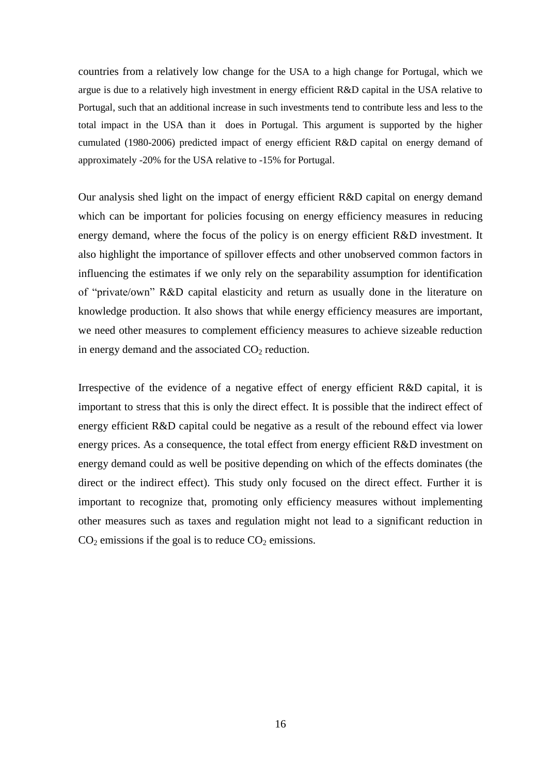countries from a relatively low change for the USA to a high change for Portugal, which we argue is due to a relatively high investment in energy efficient R&D capital in the USA relative to Portugal, such that an additional increase in such investments tend to contribute less and less to the total impact in the USA than it does in Portugal. This argument is supported by the higher cumulated (1980-2006) predicted impact of energy efficient R&D capital on energy demand of approximately -20% for the USA relative to -15% for Portugal.

Our analysis shed light on the impact of energy efficient R&D capital on energy demand which can be important for policies focusing on energy efficiency measures in reducing energy demand, where the focus of the policy is on energy efficient R&D investment. It also highlight the importance of spillover effects and other unobserved common factors in influencing the estimates if we only rely on the separability assumption for identification of "private/own" R&D capital elasticity and return as usually done in the literature on knowledge production. It also shows that while energy efficiency measures are important, we need other measures to complement efficiency measures to achieve sizeable reduction in energy demand and the associated  $CO<sub>2</sub>$  reduction.

Irrespective of the evidence of a negative effect of energy efficient R&D capital, it is important to stress that this is only the direct effect. It is possible that the indirect effect of energy efficient R&D capital could be negative as a result of the rebound effect via lower energy prices. As a consequence, the total effect from energy efficient R&D investment on energy demand could as well be positive depending on which of the effects dominates (the direct or the indirect effect). This study only focused on the direct effect. Further it is important to recognize that, promoting only efficiency measures without implementing other measures such as taxes and regulation might not lead to a significant reduction in  $CO<sub>2</sub>$  emissions if the goal is to reduce  $CO<sub>2</sub>$  emissions.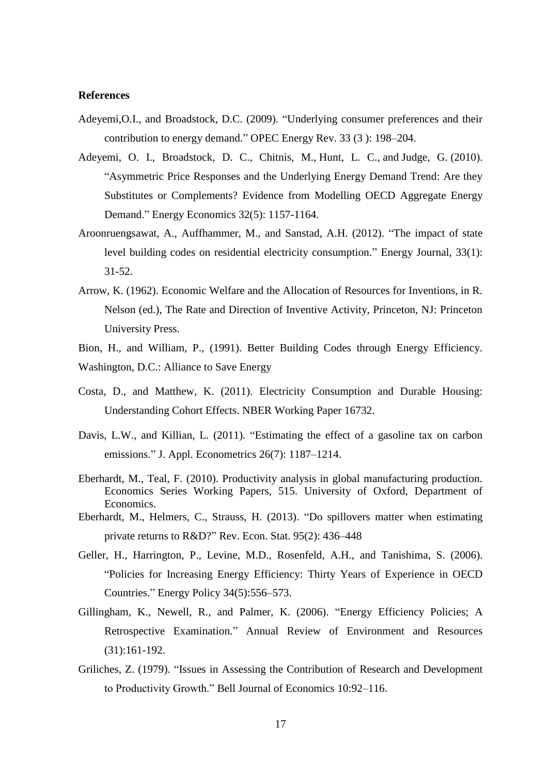## **References**

- Adeyemi,O.I., and Broadstock, D.C. (2009). "Underlying consumer preferences and their contribution to energy demand." OPEC Energy Rev. 33 (3 ): 198–204.
- Adeyemi, O. I., Broadstock, D. C., Chitnis, M., Hunt, L. C., and Judge, G. (2010). ["Asymmetric Price Responses and the Underlying Energy Demand Trend: Are they](http://dx.doi.org/10.1016/j.eneco.2010.04.003)  [Substitutes or Complements? Evidence from Modelling OECD Aggregate Energy](http://dx.doi.org/10.1016/j.eneco.2010.04.003)  [Demand.](http://dx.doi.org/10.1016/j.eneco.2010.04.003)" Energy Economics 32(5): 1157-1164.
- Aroonruengsawat, A., Auffhammer, M., and Sanstad, A.H. (2012). "The impact of state level building codes on residential electricity consumption." Energy Journal*,* 33(1): 31-52.
- Arrow, K. (1962). Economic Welfare and the Allocation of Resources for Inventions, in R. Nelson (ed.), The Rate and Direction of Inventive Activity, Princeton, NJ: Princeton University Press.
- Bion, H., and William, P., (1991). Better Building Codes through Energy Efficiency. Washington, D.C.: Alliance to Save Energy
- Costa, D., and Matthew, K. (2011). Electricity Consumption and Durable Housing: Understanding Cohort Effects. NBER Working Paper 16732.
- Davis, L.W., and Killian, L. (2011). "Estimating the effect of a gasoline tax on carbon emissions." J. Appl. Econometrics [26\(7\):](http://onlinelibrary.wiley.com/doi/10.1002/jae.v26.7/issuetoc) 1187–1214.
- Eberhardt, M., Teal, F. (2010). Productivity analysis in global manufacturing production. Economics Series Working Papers, 515. University of Oxford, Department of Economics.
- Eberhardt, M., Helmers, C., Strauss, H. (2013). "Do spillovers matter when estimating private returns to R&D?" Rev. Econ. Stat. 95(2): 436–448
- Geller, H., Harrington, P., Levine, M.D., Rosenfeld, A.H., and Tanishima, S. (2006). "Policies for Increasing Energy Efficiency: Thirty Years of Experience in OECD Countries." Energy Policy [34\(5\)](http://www.sciencedirect.com/science/journal/03014215/34/5):556–573.
- Gillingham, K., Newell, R., and Palmer, K. (2006). "Energy Efficiency Policies; A Retrospective Examination." Annual Review of Environment and Resources (31):161-192.
- Griliches, Z. (1979). "Issues in Assessing the Contribution of Research and Development to Productivity Growth." Bell Journal of Economics 10:92–116.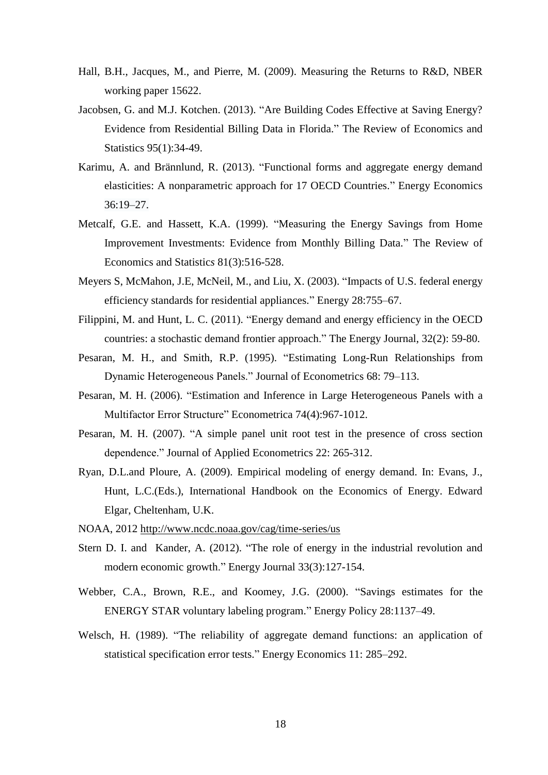- Hall, B.H., Jacques, M., and Pierre, M. (2009). Measuring the Returns to R&D, NBER working paper 15622.
- Jacobsen, G. and M.J. Kotchen. (2013). "Are Building Codes Effective at Saving Energy? Evidence from Residential Billing Data in Florida." The Review of Economics and Statistics 95(1):34-49.
- Karimu, A. and Brännlund, R. (2013). "Functional forms and aggregate energy demand elasticities: A nonparametric approach for 17 OECD Countries." Energy Economics [36:](http://www.sciencedirect.com/science/journal/01409883/36/supp/C)19–27.
- Metcalf, G.E. and Hassett, K.A. (1999). "Measuring the Energy Savings from Home Improvement Investments: Evidence from Monthly Billing Data." The Review of Economics and Statistic*s* 81(3):516-528.
- Meyers S, McMahon, J.E, McNeil, M., and Liu, X. (2003). "Impacts of U.S. federal energy efficiency standards for residential appliances." Energy 28:755–67.
- Filippini, M. and Hunt, L. C. (2011). ["Energy demand and energy efficiency in the OECD](http://dx.doi.org/10.5547/ISSN0195-6574-EJ-Vol32-No2-3)  [countries: a stochastic demand frontier approach.](http://dx.doi.org/10.5547/ISSN0195-6574-EJ-Vol32-No2-3)" The Energy Journal, 32(2): 59-80.
- Pesaran, M. H., and Smith, R.P. (1995). "Estimating Long-Run Relationships from Dynamic Heterogeneous Panels." Journal of Econometrics 68: 79–113.
- Pesaran, M. H. (2006). "Estimation and Inference in Large Heterogeneous Panels with a Multifactor Error Structure" Econometrica 74(4):967-1012.
- Pesaran, M. H. (2007). "A simple panel unit root test in the presence of cross section dependence." Journal of Applied Econometrics 22: 265-312.
- Ryan, D.L.and Ploure, A. (2009). Empirical modeling of energy demand. In: Evans, J., Hunt, L.C.(Eds.), International Handbook on the Economics of Energy. Edward Elgar, Cheltenham, U.K.
- NOAA, 2012<http://www.ncdc.noaa.gov/cag/time-series/us>
- Stern D. I. and Kander, A. (2012). ["The role of energy in the industrial revolution and](http://econpapers.repec.org/article/aenjournl/33-3-05.htm)  [modern economic growth.](http://econpapers.repec.org/article/aenjournl/33-3-05.htm)" Energy Journal 33(3):127-154.
- Webber, C.A., Brown, R.E., and Koomey, J.G. (2000). "Savings estimates for the ENERGY STAR voluntary labeling program." Energy Policy 28:1137–49.
- Welsch, H. (1989). "The reliability of aggregate demand functions: an application of statistical specification error tests." Energy Economics 11: 285–292.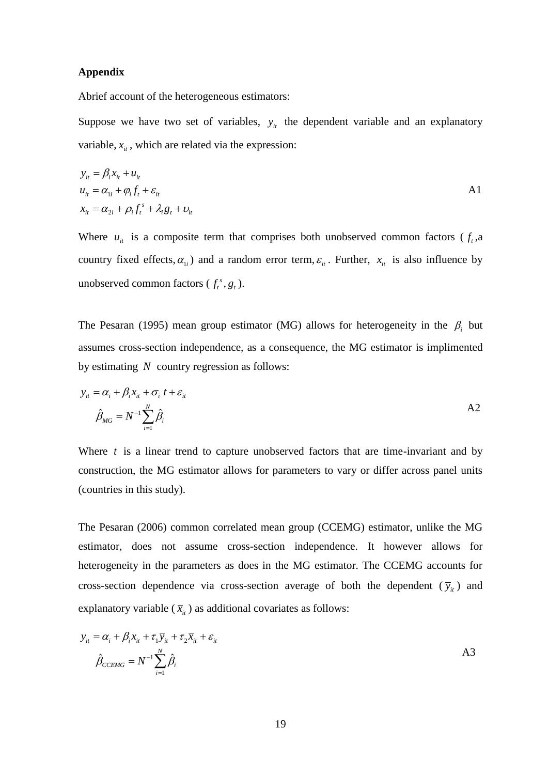## **Appendix**

Abrief account of the heterogeneous estimators:

Suppose we have two set of variables,  $y_i$  the dependent variable and an explanatory variable,  $x_{it}$ , which are related via the expression:

$$
y_{it} = \beta_i x_{it} + u_{it}
$$
  
\n
$$
u_{it} = \alpha_{1i} + \varphi_i f_t + \varepsilon_{it}
$$
  
\n
$$
x_{it} = \alpha_{2i} + \rho_i f_t^s + \lambda_i g_t + v_{it}
$$
  
\nA1

Where  $u_{it}$  is a composite term that comprises both unobserved common factors ( $f_t$ , a country fixed effects,  $\alpha_{1i}$ ) and a random error term,  $\varepsilon_{it}$ . Further,  $x_{it}$  is also influence by unobserved common factors  $(f_t^s, g_t)$ .

The Pesaran (1995) mean group estimator (MG) allows for heterogeneity in the  $\beta_i$  but assumes cross-section independence, as a consequence, the MG estimator is implimented by estimating *N* country regression as follows:

$$
y_{it} = \alpha_i + \beta_i x_{it} + \sigma_i t + \varepsilon_{it}
$$
  

$$
\hat{\beta}_{MG} = N^{-1} \sum_{i=1}^{N} \hat{\beta}_i
$$

Where *t* is a linear trend to capture unobserved factors that are time-invariant and by construction, the MG estimator allows for parameters to vary or differ across panel units (countries in this study).

The Pesaran (2006) common correlated mean group (CCEMG) estimator, unlike the MG estimator, does not assume cross-section independence. It however allows for heterogeneity in the parameters as does in the MG estimator. The CCEMG accounts for cross-section dependence via cross-section average of both the dependent  $(\bar{y}_i)$  and explanatory variable  $(\bar{x}_i)$  as additional covariates as follows:

$$
y_{it} = \alpha_i + \beta_i x_{it} + \tau_1 \overline{y}_{it} + \tau_2 \overline{x}_{it} + \varepsilon_{it}
$$
  

$$
\hat{\beta}_{CCEMG} = N^{-1} \sum_{i=1}^{N} \hat{\beta}_i
$$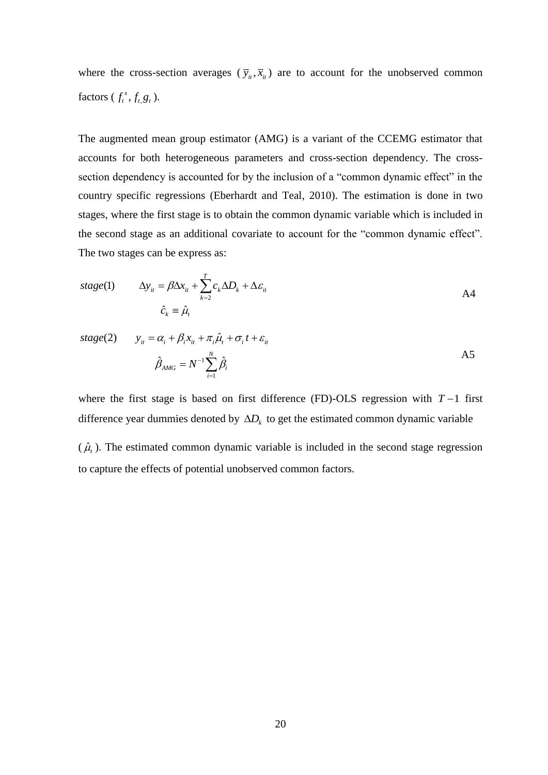where the cross-section averages  $(\bar{y}_i, \bar{x}_i)$  are to account for the unobserved common factors  $(f_t^s, f_{t, g_t})$ .

The augmented mean group estimator (AMG) is a variant of the CCEMG estimator that accounts for both heterogeneous parameters and cross-section dependency. The crosssection dependency is accounted for by the inclusion of a "common dynamic effect" in the country specific regressions (Eberhardt and Teal, 2010). The estimation is done in two stages, where the first stage is to obtain the common dynamic variable which is included in the second stage as an additional covariate to account for the "common dynamic effect". The two stages can be express as:

$$
stage(1) \qquad \Delta y_{it} = \beta \Delta x_{it} + \sum_{k=2}^{T} c_k \Delta D_k + \Delta \varepsilon_{it}
$$
\n
$$
\hat{c}_k \equiv \hat{\mu}_t \qquad \qquad \text{A4}
$$

$$
stage(2) \qquad y_{it} = \alpha_i + \beta_i x_{it} + \pi_i \hat{\mu}_t + \sigma_i t + \varepsilon_{it}
$$
\n
$$
\hat{\beta}_{AMG} = N^{-1} \sum_{i=1}^{N} \hat{\beta}_i
$$
\n
$$
(A5)
$$

where the first stage is based on first difference (FD)-OLS regression with  $T-1$  first difference year dummies denoted by  $\Delta D_k$  to get the estimated common dynamic variable

 $(\hat{\mu}_t)$ . The estimated common dynamic variable is included in the second stage regression to capture the effects of potential unobserved common factors.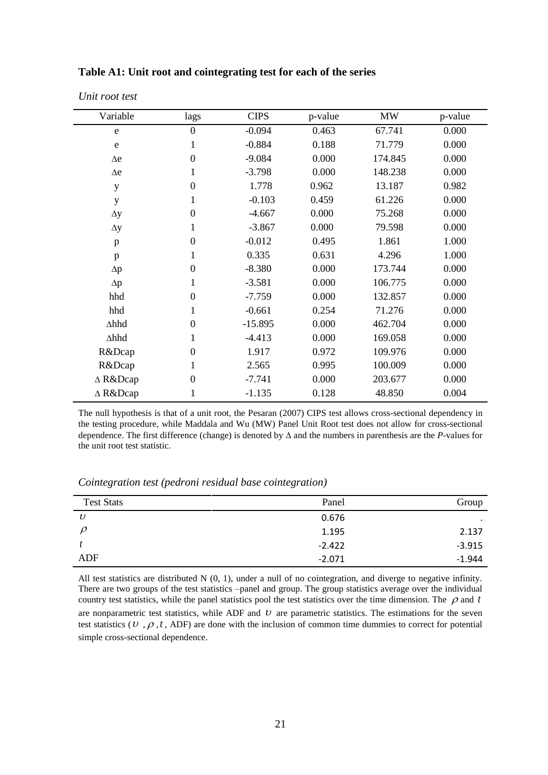| Variable       | lags             | <b>CIPS</b> | p-value | <b>MW</b> | p-value |
|----------------|------------------|-------------|---------|-----------|---------|
| e              | $\boldsymbol{0}$ | $-0.094$    | 0.463   | 67.741    | 0.000   |
| ${\bf e}$      | 1                | $-0.884$    | 0.188   | 71.779    | 0.000   |
| $\Delta e$     | $\boldsymbol{0}$ | $-9.084$    | 0.000   | 174.845   | 0.000   |
| $\Delta e$     | 1                | $-3.798$    | 0.000   | 148.238   | 0.000   |
| y              | $\boldsymbol{0}$ | 1.778       | 0.962   | 13.187    | 0.982   |
| y              | 1                | $-0.103$    | 0.459   | 61.226    | 0.000   |
| $\Delta y$     | $\boldsymbol{0}$ | $-4.667$    | 0.000   | 75.268    | 0.000   |
| $\Delta y$     | 1                | $-3.867$    | 0.000   | 79.598    | 0.000   |
| $\mathbf{p}$   | $\boldsymbol{0}$ | $-0.012$    | 0.495   | 1.861     | 1.000   |
| $\mathbf{p}$   | 1                | 0.335       | 0.631   | 4.296     | 1.000   |
| $\Delta p$     | $\boldsymbol{0}$ | $-8.380$    | 0.000   | 173.744   | 0.000   |
| $\Delta p$     | 1                | $-3.581$    | 0.000   | 106.775   | 0.000   |
| hhd            | $\boldsymbol{0}$ | $-7.759$    | 0.000   | 132.857   | 0.000   |
| hhd            | $\mathbf{1}$     | $-0.661$    | 0.254   | 71.276    | 0.000   |
| $\Delta h h d$ | $\boldsymbol{0}$ | $-15.895$   | 0.000   | 462.704   | 0.000   |
| ∆hhd           | 1                | $-4.413$    | 0.000   | 169.058   | 0.000   |
| R&Dcap         | $\boldsymbol{0}$ | 1.917       | 0.972   | 109.976   | 0.000   |
| R&Dcap         | $\mathbf{1}$     | 2.565       | 0.995   | 100.009   | 0.000   |
| ∆ R&Dcap       | $\boldsymbol{0}$ | $-7.741$    | 0.000   | 203.677   | 0.000   |
| ∆ R&Dcap       | 1                | $-1.135$    | 0.128   | 48.850    | 0.004   |

#### **Table A1: Unit root and cointegrating test for each of the series**

*Unit root test*

The null hypothesis is that of a unit root, the Pesaran (2007) CIPS test allows cross-sectional dependency in the testing procedure, while Maddala and Wu (MW) Panel Unit Root test does not allow for cross-sectional dependence. The first difference (change) is denoted by  $\Delta$  and the numbers in parenthesis are the *P*-values for the unit root test statistic.

*Cointegration test (pedroni residual base cointegration)*

| <b>Test Stats</b> | Panel    | Group    |
|-------------------|----------|----------|
| $\upsilon$        | 0.676    | $\cdot$  |
|                   | 1.195    | 2.137    |
|                   | $-2.422$ | $-3.915$ |
| ADF               | $-2.071$ | $-1.944$ |

All test statistics are distributed  $N(0, 1)$ , under a null of no cointegration, and diverge to negative infinity. There are two groups of the test statistics –panel and group. The group statistics average over the individual country test statistics, while the panel statistics pool the test statistics over the time dimension. The  $\rho$  and t are nonparametric test statistics, while ADF and  $U$  are parametric statistics. The estimations for the seven test statistics ( $v, \rho, t$ , ADF) are done with the inclusion of common time dummies to correct for potential simple cross-sectional dependence.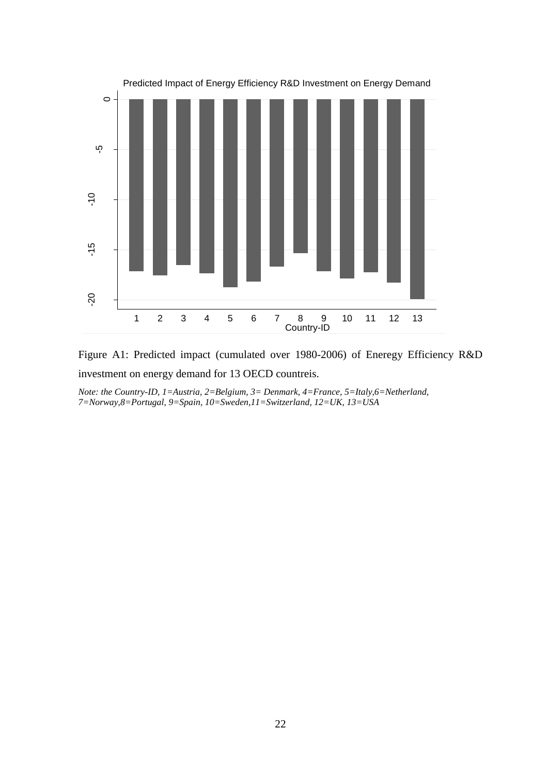

Figure A1: Predicted impact (cumulated over 1980-2006) of Eneregy Efficiency R&D investment on energy demand for 13 OECD countreis.

*Note: the Country-ID, 1=Austria, 2=Belgium, 3= Denmark, 4=France, 5=Italy,6=Netherland, 7=Norway,8=Portugal, 9=Spain, 10=Sweden,11=Switzerland, 12=UK, 13=USA*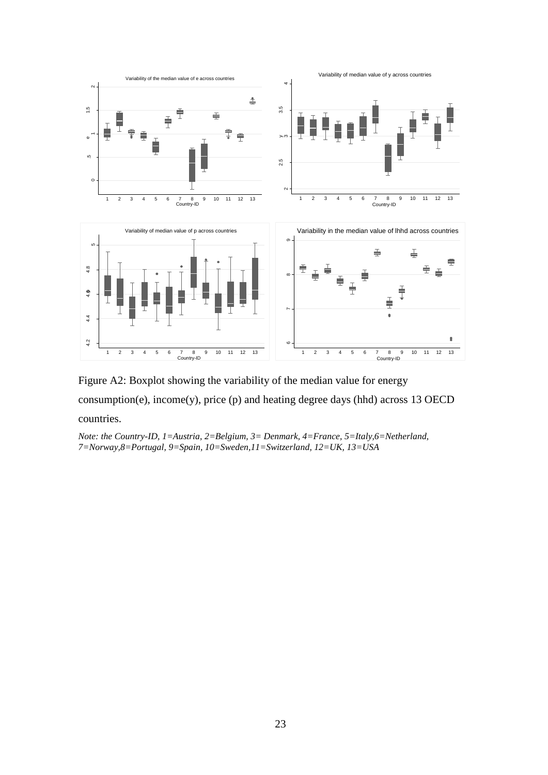

Figure A2: Boxplot showing the variability of the median value for energy consumption(e), income(y), price (p) and heating degree days (hhd) across 13 OECD countries.

*Note: the Country-ID, 1=Austria, 2=Belgium, 3= Denmark, 4=France, 5=Italy,6=Netherland, 7=Norway,8=Portugal, 9=Spain, 10=Sweden,11=Switzerland, 12=UK, 13=USA*